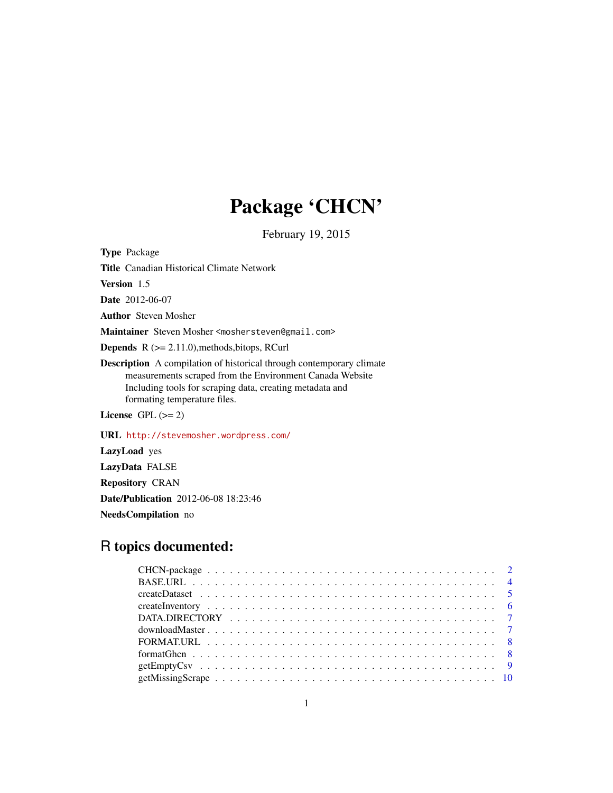## Package 'CHCN'

February 19, 2015

Type Package Title Canadian Historical Climate Network Version 1.5 Date 2012-06-07 Author Steven Mosher Maintainer Steven Mosher <moshersteven@gmail.com> **Depends**  $R$  ( $>= 2.11.0$ ), methods, bitops, RCurl Description A compilation of historical through contemporary climate measurements scraped from the Environment Canada Website Including tools for scraping data, creating metadata and formating temperature files. License GPL  $(>= 2)$ 

URL <http://stevemosher.wordpress.com/>

LazyLoad yes LazyData FALSE Repository CRAN Date/Publication 2012-06-08 18:23:46 NeedsCompilation no

## R topics documented: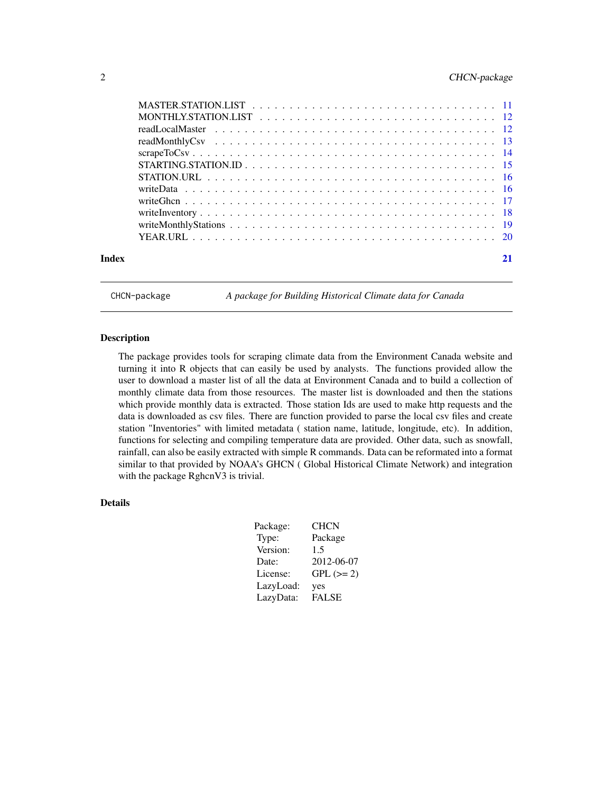## <span id="page-1-0"></span>2 CHCN-package

| Index |  |
|-------|--|

CHCN-package *A package for Building Historical Climate data for Canada*

#### Description

The package provides tools for scraping climate data from the Environment Canada website and turning it into R objects that can easily be used by analysts. The functions provided allow the user to download a master list of all the data at Environment Canada and to build a collection of monthly climate data from those resources. The master list is downloaded and then the stations which provide monthly data is extracted. Those station Ids are used to make http requests and the data is downloaded as csv files. There are function provided to parse the local csv files and create station "Inventories" with limited metadata ( station name, latitude, longitude, etc). In addition, functions for selecting and compiling temperature data are provided. Other data, such as snowfall, rainfall, can also be easily extracted with simple R commands. Data can be reformated into a format similar to that provided by NOAA's GHCN ( Global Historical Climate Network) and integration with the package RghcnV3 is trivial.

## Details

| Package:  | CHCN         |
|-----------|--------------|
| Type:     | Package      |
| Version:  | 1.5          |
| Date:     | 2012-06-07   |
| License:  | $GPL (= 2)$  |
| LazyLoad: | yes          |
| LazyData: | <b>FALSE</b> |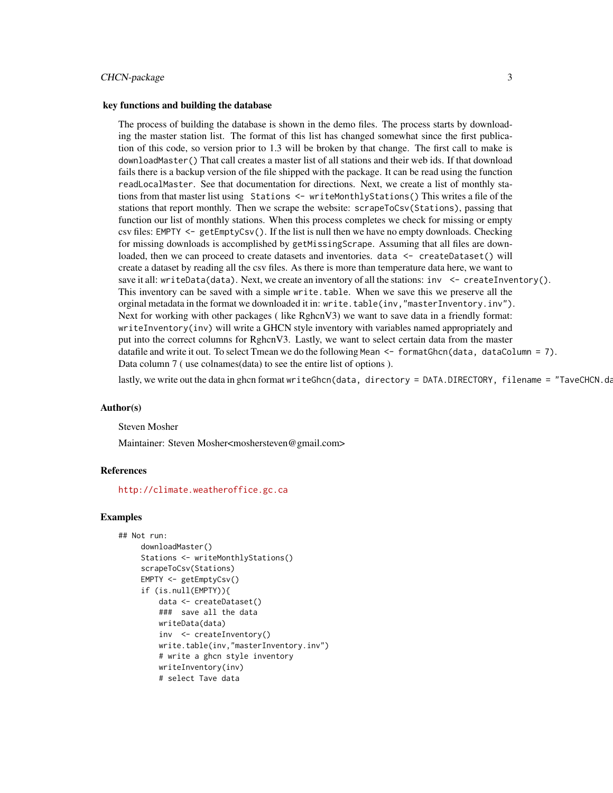#### CHCN-package 3

#### key functions and building the database

The process of building the database is shown in the demo files. The process starts by downloading the master station list. The format of this list has changed somewhat since the first publication of this code, so version prior to 1.3 will be broken by that change. The first call to make is downloadMaster() That call creates a master list of all stations and their web ids. If that download fails there is a backup version of the file shipped with the package. It can be read using the function readLocalMaster. See that documentation for directions. Next, we create a list of monthly stations from that master list using Stations <- writeMonthlyStations() This writes a file of the stations that report monthly. Then we scrape the website: scrapeToCsv(Stations), passing that function our list of monthly stations. When this process completes we check for missing or empty csv files: EMPTY <- getEmptyCsv(). If the list is null then we have no empty downloads. Checking for missing downloads is accomplished by getMissingScrape. Assuming that all files are downloaded, then we can proceed to create datasets and inventories. data <- createDataset() will create a dataset by reading all the csv files. As there is more than temperature data here, we want to save it all: writeData(data). Next, we create an inventory of all the stations:  $inv <$  - createInventory(). This inventory can be saved with a simple write.table. When we save this we preserve all the orginal metadata in the format we downloaded it in: write.table(inv,"masterInventory.inv"). Next for working with other packages (like RghcnV3) we want to save data in a friendly format: writeInventory(inv) will write a GHCN style inventory with variables named appropriately and put into the correct columns for RghcnV3. Lastly, we want to select certain data from the master datafile and write it out. To select Tmean we do the following Mean <- formatGhcn(data, dataColumn = 7). Data column 7 ( use colnames(data) to see the entire list of options ).

lastly, we write out the data in ghcn format writeGhcn(data, directory = DATA.DIRECTORY, filename = "TaveCHCN.da

#### Author(s)

#### Steven Mosher

Maintainer: Steven Mosher<moshersteven@gmail.com>

#### References

<http://climate.weatheroffice.gc.ca>

#### Examples

```
## Not run:
    downloadMaster()
    Stations <- writeMonthlyStations()
    scrapeToCsv(Stations)
    EMPTY <- getEmptyCsv()
    if (is.null(EMPTY)){
        data <- createDataset()
        ### save all the data
        writeData(data)
         inv <- createInventory()
        write.table(inv,"masterInventory.inv")
        # write a ghcn style inventory
        writeInventory(inv)
         # select Tave data
```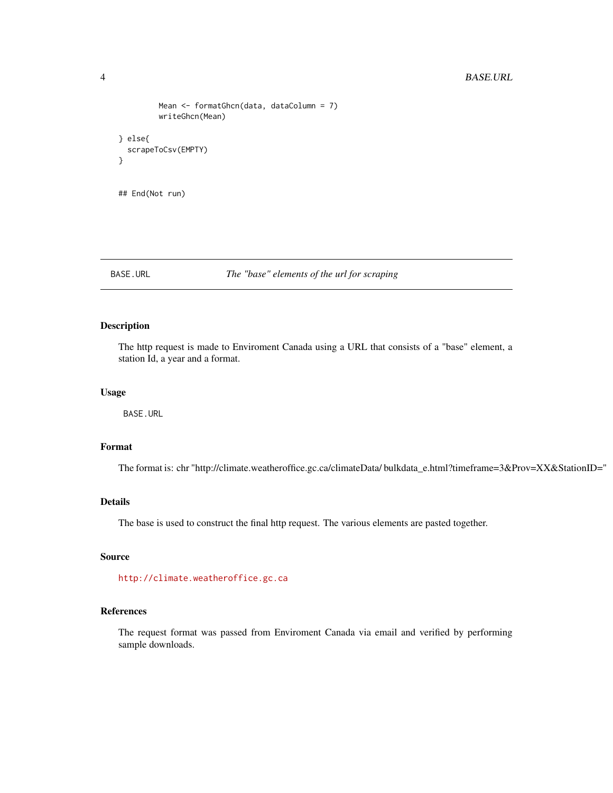```
Mean <- formatGhcn(data, dataColumn = 7)
        writeGhcn(Mean)
} else{
 scrapeToCsv(EMPTY)
}
## End(Not run)
```
#### BASE.URL *The "base" elements of the url for scraping*

## Description

The http request is made to Enviroment Canada using a URL that consists of a "base" element, a station Id, a year and a format.

## Usage

BASE.URL

## Format

The format is: chr "http://climate.weatheroffice.gc.ca/climateData/ bulkdata\_e.html?timeframe=3&Prov=XX&StationID="

## Details

The base is used to construct the final http request. The various elements are pasted together.

## Source

<http://climate.weatheroffice.gc.ca>

## References

The request format was passed from Enviroment Canada via email and verified by performing sample downloads.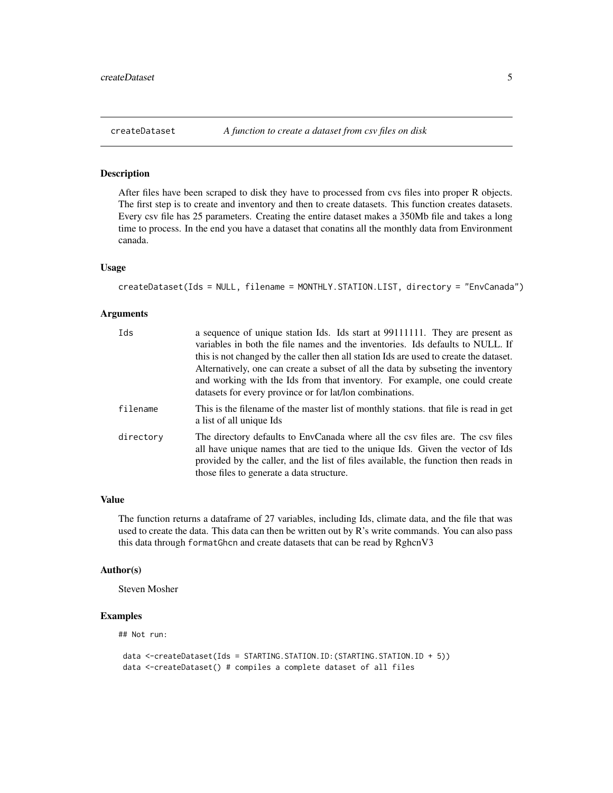After files have been scraped to disk they have to processed from cvs files into proper R objects. The first step is to create and inventory and then to create datasets. This function creates datasets. Every csv file has 25 parameters. Creating the entire dataset makes a 350Mb file and takes a long time to process. In the end you have a dataset that conatins all the monthly data from Environment canada.

#### Usage

```
createDataset(Ids = NULL, filename = MONTHLY.STATION.LIST, directory = "EnvCanada")
```
#### Arguments

| Ids       | a sequence of unique station Ids. Ids start at 99111111. They are present as<br>variables in both the file names and the inventories. Ids defaults to NULL. If                                                                                                                                                         |
|-----------|------------------------------------------------------------------------------------------------------------------------------------------------------------------------------------------------------------------------------------------------------------------------------------------------------------------------|
|           | this is not changed by the caller then all station Ids are used to create the dataset.<br>Alternatively, one can create a subset of all the data by subseting the inventory<br>and working with the Ids from that inventory. For example, one could create<br>datasets for every province or for lat/lon combinations. |
| filename  | This is the filename of the master list of monthly stations, that file is read in get<br>a list of all unique Ids                                                                                                                                                                                                      |
| directory | The directory defaults to EnvCanada where all the csy files are. The csy files<br>all have unique names that are tied to the unique Ids. Given the vector of Ids<br>provided by the caller, and the list of files available, the function then reads in<br>those files to generate a data structure.                   |

#### Value

The function returns a dataframe of 27 variables, including Ids, climate data, and the file that was used to create the data. This data can then be written out by R's write commands. You can also pass this data through formatGhcn and create datasets that can be read by RghcnV3

#### Author(s)

Steven Mosher

## Examples

## Not run:

```
data <-createDataset(Ids = STARTING.STATION.ID:(STARTING.STATION.ID + 5))
data <-createDataset() # compiles a complete dataset of all files
```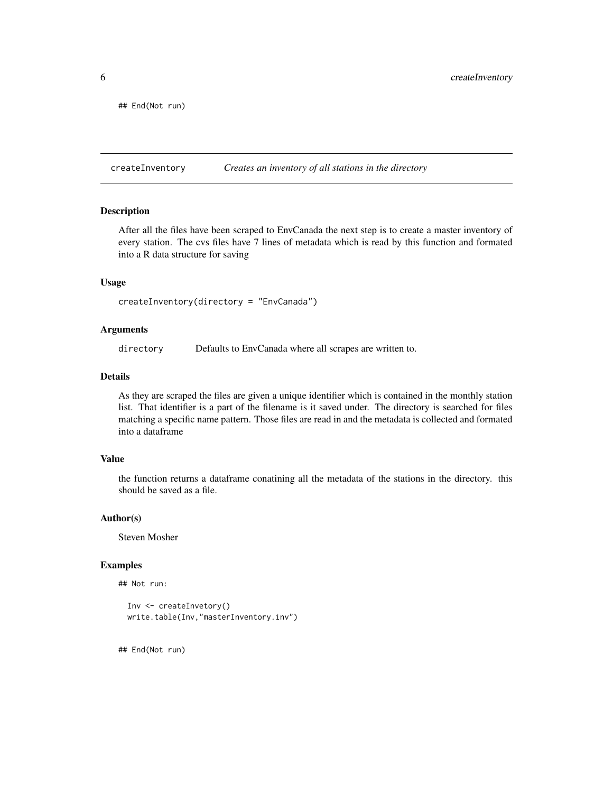<span id="page-5-0"></span>## End(Not run)

createInventory *Creates an inventory of all stations in the directory*

#### Description

After all the files have been scraped to EnvCanada the next step is to create a master inventory of every station. The cvs files have 7 lines of metadata which is read by this function and formated into a R data structure for saving

#### Usage

createInventory(directory = "EnvCanada")

## Arguments

directory Defaults to EnvCanada where all scrapes are written to.

#### Details

As they are scraped the files are given a unique identifier which is contained in the monthly station list. That identifier is a part of the filename is it saved under. The directory is searched for files matching a specific name pattern. Those files are read in and the metadata is collected and formated into a dataframe

#### Value

the function returns a dataframe conatining all the metadata of the stations in the directory. this should be saved as a file.

#### Author(s)

Steven Mosher

#### Examples

```
## Not run:
```

```
Inv <- createInvetory()
write.table(Inv,"masterInventory.inv")
```
## End(Not run)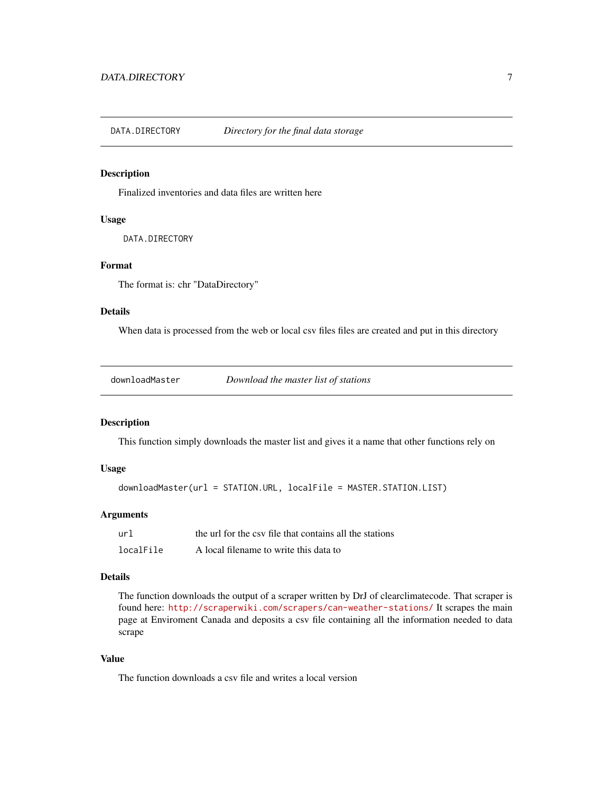<span id="page-6-0"></span>

Finalized inventories and data files are written here

## Usage

DATA.DIRECTORY

## Format

The format is: chr "DataDirectory"

#### Details

When data is processed from the web or local csv files files are created and put in this directory

downloadMaster *Download the master list of stations*

#### Description

This function simply downloads the master list and gives it a name that other functions rely on

## Usage

downloadMaster(url = STATION.URL, localFile = MASTER.STATION.LIST)

#### Arguments

| url       | the url for the csy file that contains all the stations |
|-----------|---------------------------------------------------------|
| localFile | A local filename to write this data to                  |

## Details

The function downloads the output of a scraper written by DrJ of clearclimatecode. That scraper is found here: <http://scraperwiki.com/scrapers/can-weather-stations/> It scrapes the main page at Enviroment Canada and deposits a csv file containing all the information needed to data scrape

## Value

The function downloads a csv file and writes a local version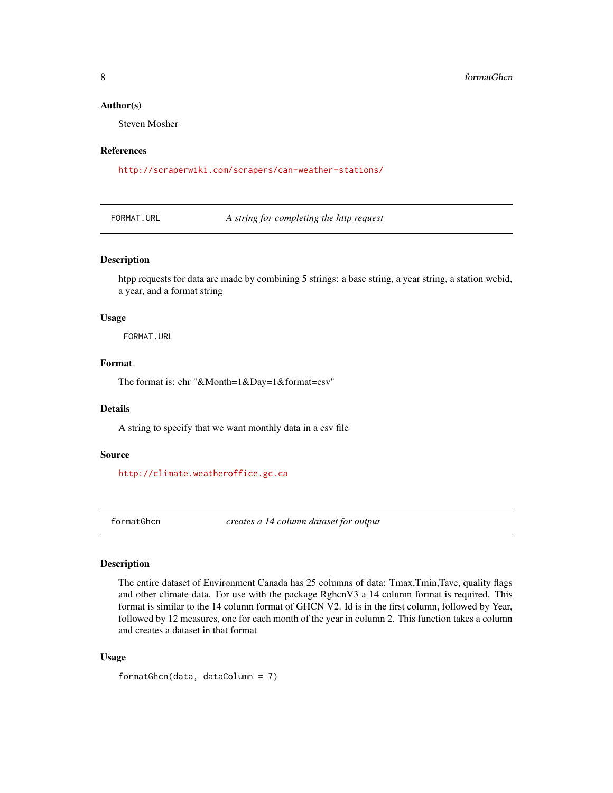#### <span id="page-7-0"></span>Author(s)

Steven Mosher

#### References

<http://scraperwiki.com/scrapers/can-weather-stations/>

FORMAT.URL *A string for completing the http request*

## Description

htpp requests for data are made by combining 5 strings: a base string, a year string, a station webid, a year, and a format string

#### Usage

FORMAT.URL

## Format

The format is: chr "&Month=1&Day=1&format=csv"

#### Details

A string to specify that we want monthly data in a csv file

#### Source

<http://climate.weatheroffice.gc.ca>

formatGhcn *creates a 14 column dataset for output*

### Description

The entire dataset of Environment Canada has 25 columns of data: Tmax,Tmin,Tave, quality flags and other climate data. For use with the package RghcnV3 a 14 column format is required. This format is similar to the 14 column format of GHCN V2. Id is in the first column, followed by Year, followed by 12 measures, one for each month of the year in column 2. This function takes a column and creates a dataset in that format

#### Usage

formatGhcn(data, dataColumn = 7)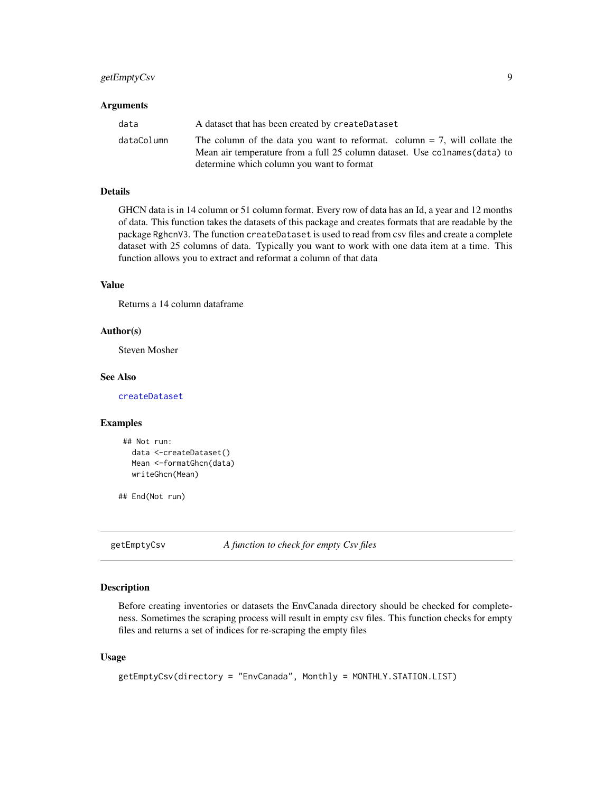## <span id="page-8-0"></span>getEmptyCsv 9

#### **Arguments**

| data       | A dataset that has been created by createDataset                                                                                                           |
|------------|------------------------------------------------------------------------------------------------------------------------------------------------------------|
| dataColumn | The column of the data you want to reformat. column $= 7$ , will collate the<br>Mean air temperature from a full 25 column dataset. Use colnames (data) to |
|            | determine which column you want to format                                                                                                                  |

#### Details

GHCN data is in 14 column or 51 column format. Every row of data has an Id, a year and 12 months of data. This function takes the datasets of this package and creates formats that are readable by the package RghcnV3. The function createDataset is used to read from csv files and create a complete dataset with 25 columns of data. Typically you want to work with one data item at a time. This function allows you to extract and reformat a column of that data

#### Value

Returns a 14 column dataframe

#### Author(s)

Steven Mosher

#### See Also

[createDataset](#page-4-1)

#### Examples

```
## Not run:
  data <-createDataset()
  Mean <-formatGhcn(data)
  writeGhcn(Mean)
```
## End(Not run)

getEmptyCsv *A function to check for empty Csv files*

#### Description

Before creating inventories or datasets the EnvCanada directory should be checked for completeness. Sometimes the scraping process will result in empty csv files. This function checks for empty files and returns a set of indices for re-scraping the empty files

#### Usage

```
getEmptyCsv(directory = "EnvCanada", Monthly = MONTHLY.STATION.LIST)
```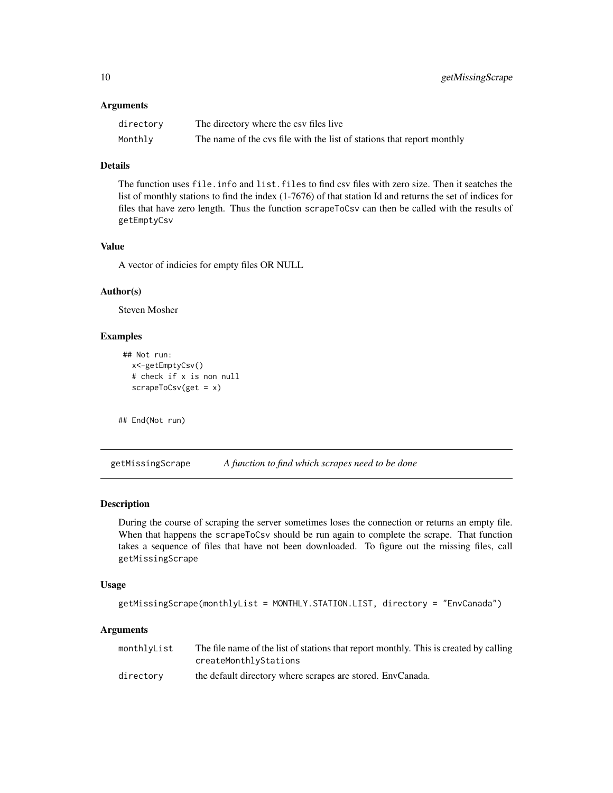#### <span id="page-9-0"></span>**Arguments**

| directory | The directory where the csy files live                                 |
|-----------|------------------------------------------------------------------------|
| Monthly   | The name of the cys file with the list of stations that report monthly |

## Details

The function uses file. info and list. files to find csv files with zero size. Then it seatches the list of monthly stations to find the index (1-7676) of that station Id and returns the set of indices for files that have zero length. Thus the function scrapeToCsv can then be called with the results of getEmptyCsv

## Value

A vector of indicies for empty files OR NULL

## Author(s)

Steven Mosher

## Examples

```
## Not run:
 x<-getEmptyCsv()
  # check if x is non null
  scrapeToCsv(get = x)
```

```
## End(Not run)
```
<span id="page-9-1"></span>getMissingScrape *A function to find which scrapes need to be done*

#### Description

During the course of scraping the server sometimes loses the connection or returns an empty file. When that happens the scrapeToCsv should be run again to complete the scrape. That function takes a sequence of files that have not been downloaded. To figure out the missing files, call getMissingScrape

#### Usage

```
getMissingScrape(monthlyList = MONTHLY.STATION.LIST, directory = "EnvCanada")
```
#### Arguments

| monthlvList | The file name of the list of stations that report monthly. This is created by calling<br>createMonthlyStations |
|-------------|----------------------------------------------------------------------------------------------------------------|
| directory   | the default directory where scrapes are stored. EnvCanada.                                                     |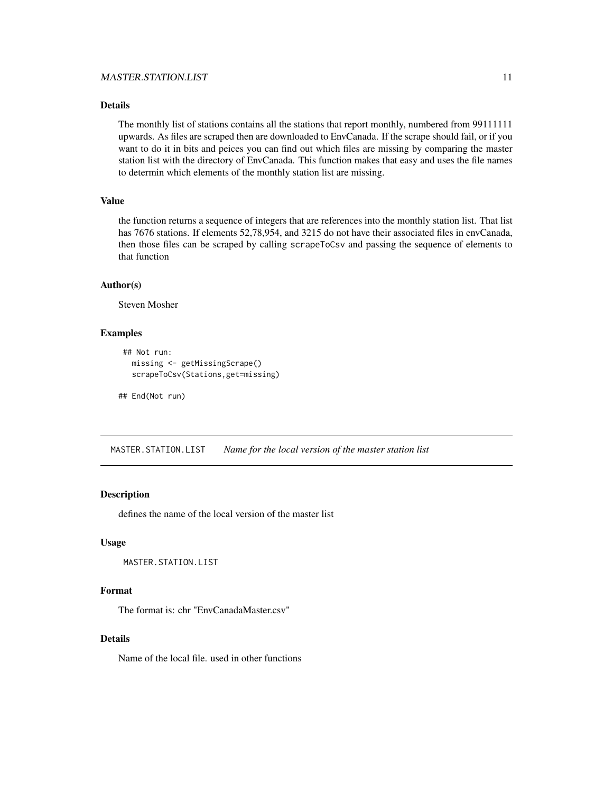## <span id="page-10-0"></span>Details

The monthly list of stations contains all the stations that report monthly, numbered from 99111111 upwards. As files are scraped then are downloaded to EnvCanada. If the scrape should fail, or if you want to do it in bits and peices you can find out which files are missing by comparing the master station list with the directory of EnvCanada. This function makes that easy and uses the file names to determin which elements of the monthly station list are missing.

#### Value

the function returns a sequence of integers that are references into the monthly station list. That list has 7676 stations. If elements 52,78,954, and 3215 do not have their associated files in envCanada, then those files can be scraped by calling scrapeToCsv and passing the sequence of elements to that function

#### Author(s)

Steven Mosher

#### Examples

```
## Not run:
  missing <- getMissingScrape()
  scrapeToCsv(Stations,get=missing)
```
## End(Not run)

MASTER.STATION.LIST *Name for the local version of the master station list*

## Description

defines the name of the local version of the master list

## Usage

MASTER.STATION.LIST

## Format

The format is: chr "EnvCanadaMaster.csv"

#### Details

Name of the local file. used in other functions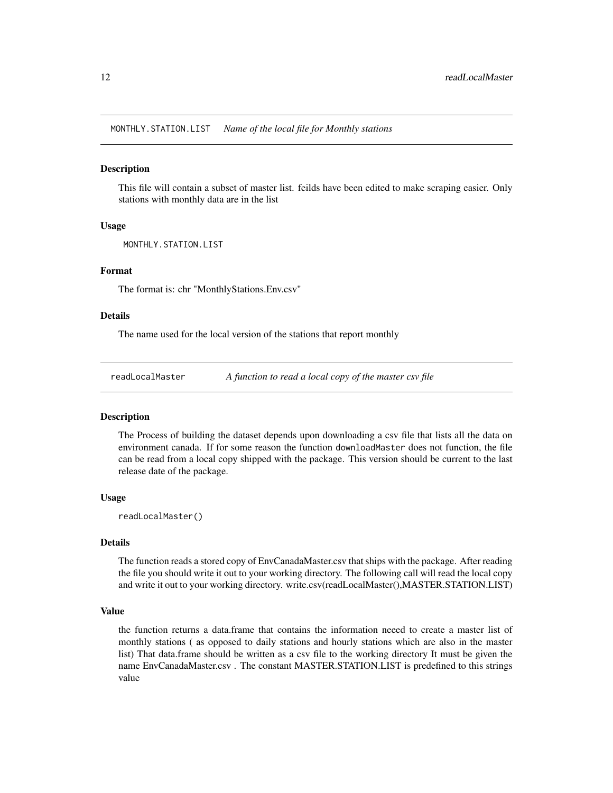<span id="page-11-0"></span>MONTHLY.STATION.LIST *Name of the local file for Monthly stations*

#### **Description**

This file will contain a subset of master list. feilds have been edited to make scraping easier. Only stations with monthly data are in the list

#### Usage

MONTHLY.STATION.LIST

## Format

The format is: chr "MonthlyStations.Env.csv"

### Details

The name used for the local version of the stations that report monthly

readLocalMaster *A function to read a local copy of the master csv file*

#### **Description**

The Process of building the dataset depends upon downloading a csv file that lists all the data on environment canada. If for some reason the function downloadMaster does not function, the file can be read from a local copy shipped with the package. This version should be current to the last release date of the package.

#### Usage

readLocalMaster()

#### Details

The function reads a stored copy of EnvCanadaMaster.csv that ships with the package. After reading the file you should write it out to your working directory. The following call will read the local copy and write it out to your working directory. write.csv(readLocalMaster(),MASTER.STATION.LIST)

#### Value

the function returns a data.frame that contains the information neeed to create a master list of monthly stations ( as opposed to daily stations and hourly stations which are also in the master list) That data.frame should be written as a csv file to the working directory It must be given the name EnvCanadaMaster.csv . The constant MASTER.STATION.LIST is predefined to this strings value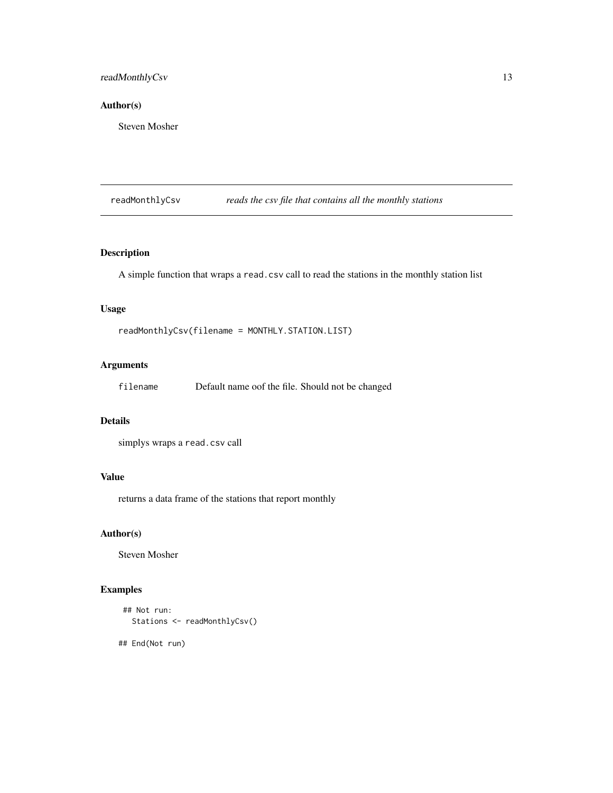## <span id="page-12-0"></span>readMonthlyCsv 13

## Author(s)

Steven Mosher

readMonthlyCsv *reads the csv file that contains all the monthly stations*

## Description

A simple function that wraps a read.csv call to read the stations in the monthly station list

## Usage

readMonthlyCsv(filename = MONTHLY.STATION.LIST)

## Arguments

filename Default name oof the file. Should not be changed

## Details

simplys wraps a read.csv call

#### Value

returns a data frame of the stations that report monthly

## Author(s)

Steven Mosher

## Examples

```
## Not run:
  Stations <- readMonthlyCsv()
```
## End(Not run)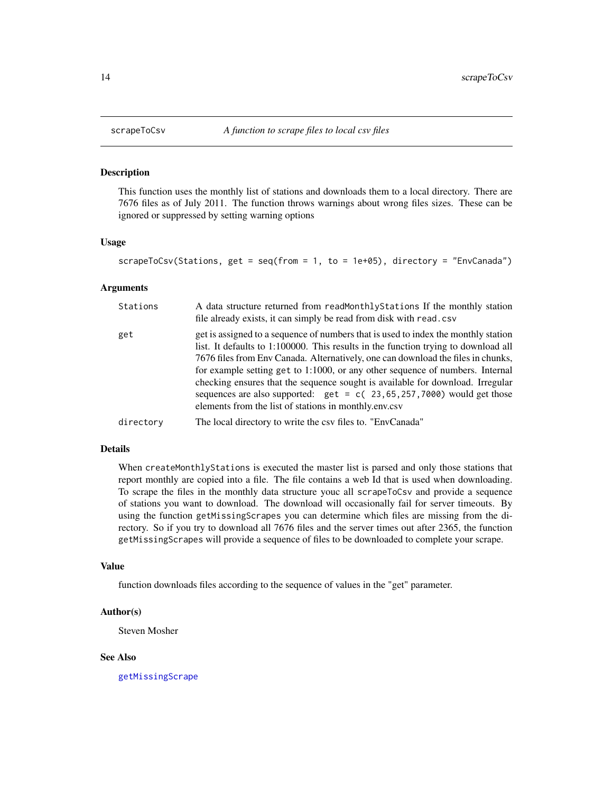This function uses the monthly list of stations and downloads them to a local directory. There are 7676 files as of July 2011. The function throws warnings about wrong files sizes. These can be ignored or suppressed by setting warning options

#### Usage

```
scrapeToCsv(Stations, get = seq(from = 1, to = 1e+05), directory = "EnvCanada")
```
#### Arguments

| Stations  | A data structure returned from readMonthlyStations If the monthly station<br>file already exists, it can simply be read from disk with read.csv                                                                                                                                                                                                                                                                                                                                                                                                                        |
|-----------|------------------------------------------------------------------------------------------------------------------------------------------------------------------------------------------------------------------------------------------------------------------------------------------------------------------------------------------------------------------------------------------------------------------------------------------------------------------------------------------------------------------------------------------------------------------------|
| get       | get is assigned to a sequence of numbers that is used to index the monthly station<br>list. It defaults to 1:100000. This results in the function trying to download all<br>7676 files from Env Canada. Alternatively, one can download the files in chunks,<br>for example setting get to 1:1000, or any other sequence of numbers. Internal<br>checking ensures that the sequence sought is available for download. Irregular<br>sequences are also supported: $get = c(23, 65, 257, 7000)$ would get those<br>elements from the list of stations in monthly.env.csv |
| directory | The local directory to write the csy files to. "EnvCanada"                                                                                                                                                                                                                                                                                                                                                                                                                                                                                                             |

#### Details

When createMonthlyStations is executed the master list is parsed and only those stations that report monthly are copied into a file. The file contains a web Id that is used when downloading. To scrape the files in the monthly data structure youc all scrapeToCsv and provide a sequence of stations you want to download. The download will occasionally fail for server timeouts. By using the function getMissingScrapes you can determine which files are missing from the directory. So if you try to download all 7676 files and the server times out after 2365, the function getMissingScrapes will provide a sequence of files to be downloaded to complete your scrape.

#### Value

function downloads files according to the sequence of values in the "get" parameter.

#### Author(s)

Steven Mosher

#### See Also

[getMissingScrape](#page-9-1)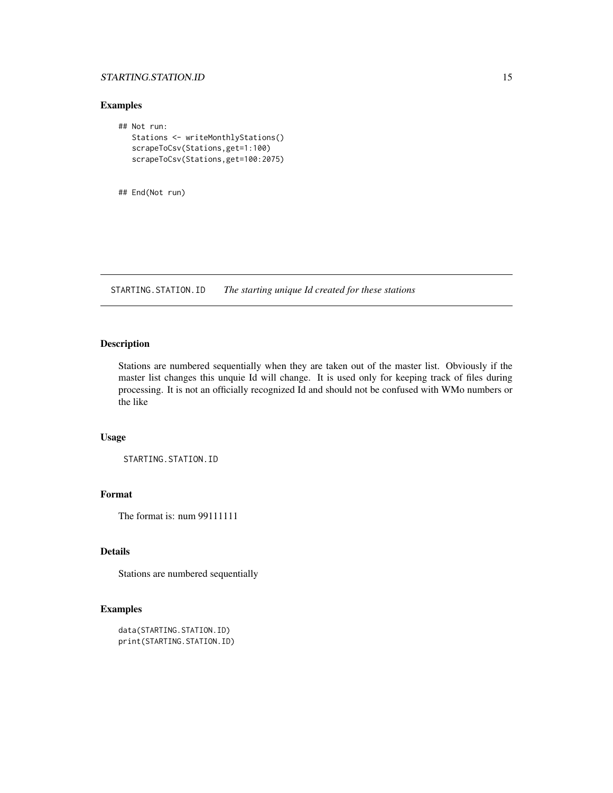## <span id="page-14-0"></span>STARTING.STATION.ID 15

## Examples

```
## Not run:
  Stations <- writeMonthlyStations()
  scrapeToCsv(Stations,get=1:100)
  scrapeToCsv(Stations,get=100:2075)
```
## End(Not run)

STARTING.STATION.ID *The starting unique Id created for these stations*

## Description

Stations are numbered sequentially when they are taken out of the master list. Obviously if the master list changes this unquie Id will change. It is used only for keeping track of files during processing. It is not an officially recognized Id and should not be confused with WMo numbers or the like

## Usage

```
STARTING.STATION.ID
```
## Format

The format is: num 99111111

## Details

Stations are numbered sequentially

## Examples

```
data(STARTING.STATION.ID)
print(STARTING.STATION.ID)
```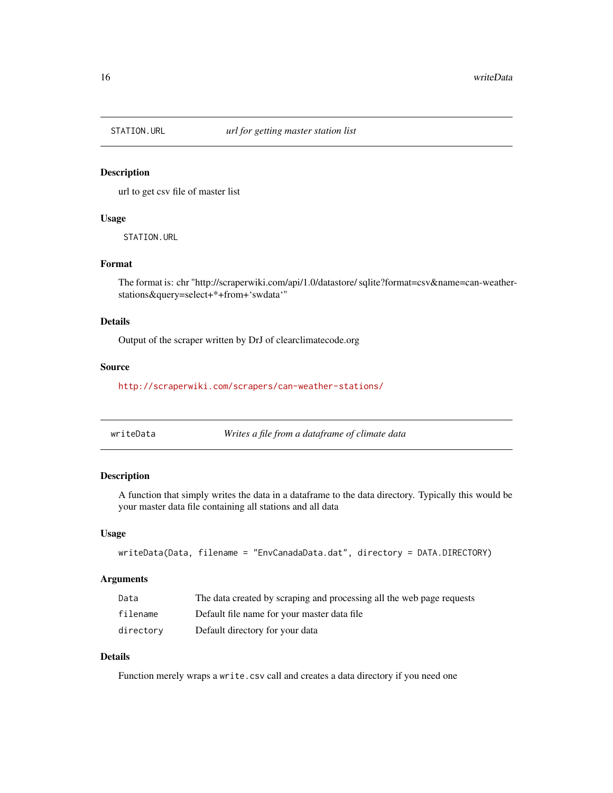<span id="page-15-0"></span>

url to get csv file of master list

#### Usage

STATION.URL

#### Format

The format is: chr "http://scraperwiki.com/api/1.0/datastore/ sqlite?format=csv&name=can-weatherstations&query=select+\*+from+'swdata'"

#### Details

Output of the scraper written by DrJ of clearclimatecode.org

#### Source

<http://scraperwiki.com/scrapers/can-weather-stations/>

| writeData | Writes a file from a dataframe of climate data |  |
|-----------|------------------------------------------------|--|
|-----------|------------------------------------------------|--|

#### Description

A function that simply writes the data in a dataframe to the data directory. Typically this would be your master data file containing all stations and all data

#### Usage

```
writeData(Data, filename = "EnvCanadaData.dat", directory = DATA.DIRECTORY)
```
## Arguments

| Data      | The data created by scraping and processing all the web page requests |
|-----------|-----------------------------------------------------------------------|
| filename  | Default file name for your master data file                           |
| directory | Default directory for your data                                       |

## Details

Function merely wraps a write.csv call and creates a data directory if you need one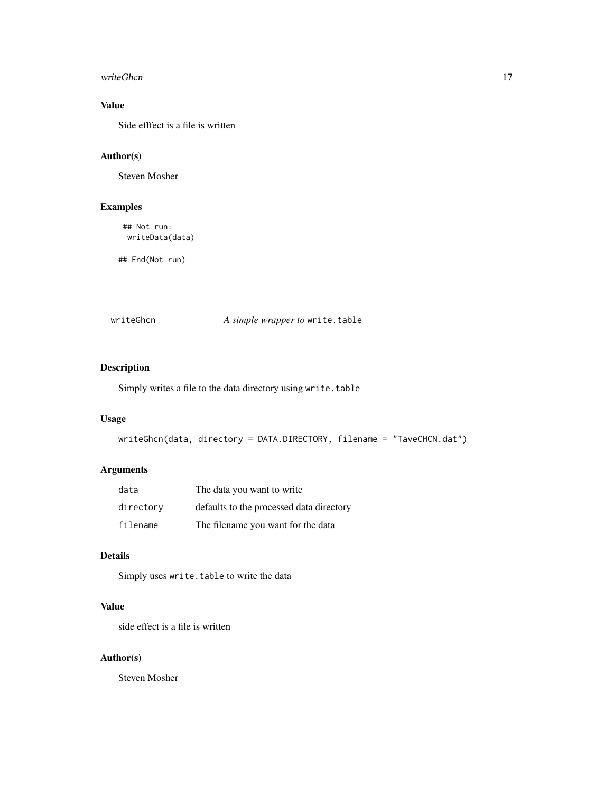#### <span id="page-16-0"></span>writeGhcn 17

## Value

Side efffect is a file is written

## Author(s)

Steven Mosher

## Examples

## Not run: writeData(data)

## End(Not run)

writeGhcn *A simple wrapper to* write.table

## Description

Simply writes a file to the data directory using write.table

## Usage

```
writeGhcn(data, directory = DATA.DIRECTORY, filename = "TaveCHCN.dat")
```
## Arguments

| data      | The data you want to write               |
|-----------|------------------------------------------|
| directory | defaults to the processed data directory |
| filename  | The filename you want for the data       |

## Details

Simply uses write.table to write the data

## Value

side effect is a file is written

#### Author(s)

Steven Mosher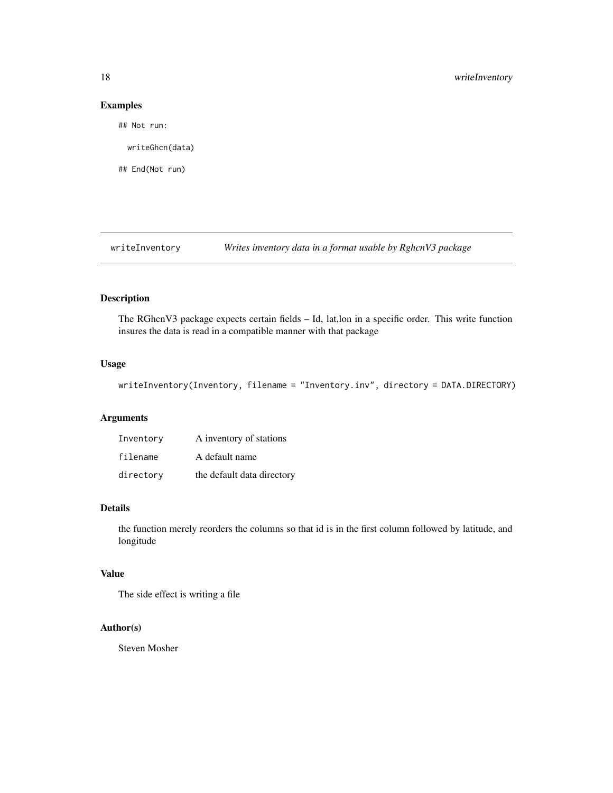### Examples

## Not run:

writeGhcn(data)

## End(Not run)

writeInventory *Writes inventory data in a format usable by RghcnV3 package*

## Description

The RGhcnV3 package expects certain fields – Id, lat,lon in a specific order. This write function insures the data is read in a compatible manner with that package

## Usage

writeInventory(Inventory, filename = "Inventory.inv", directory = DATA.DIRECTORY)

## Arguments

| Inventory | A inventory of stations    |
|-----------|----------------------------|
| filename  | A default name             |
| directory | the default data directory |

#### Details

the function merely reorders the columns so that id is in the first column followed by latitude, and longitude

## Value

The side effect is writing a file

## Author(s)

Steven Mosher

<span id="page-17-0"></span>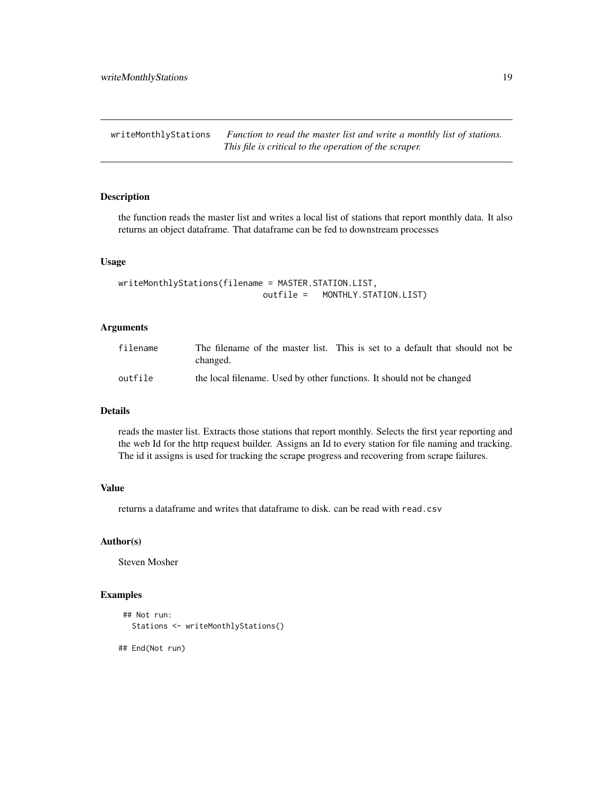<span id="page-18-0"></span>writeMonthlyStations *Function to read the master list and write a monthly list of stations. This file is critical to the operation of the scraper.*

## Description

the function reads the master list and writes a local list of stations that report monthly data. It also returns an object dataframe. That dataframe can be fed to downstream processes

#### Usage

```
writeMonthlyStations(filename = MASTER.STATION.LIST,
                            outfile = MONTHLY.STATION.LIST)
```
#### **Arguments**

| filename | The filename of the master list. This is set to a default that should not be<br>changed. |
|----------|------------------------------------------------------------------------------------------|
| outfile  | the local filename. Used by other functions. It should not be changed                    |

#### Details

reads the master list. Extracts those stations that report monthly. Selects the first year reporting and the web Id for the http request builder. Assigns an Id to every station for file naming and tracking. The id it assigns is used for tracking the scrape progress and recovering from scrape failures.

## Value

returns a dataframe and writes that dataframe to disk. can be read with read.csv

#### Author(s)

Steven Mosher

## Examples

```
## Not run:
  Stations <- writeMonthlyStations()
```
## End(Not run)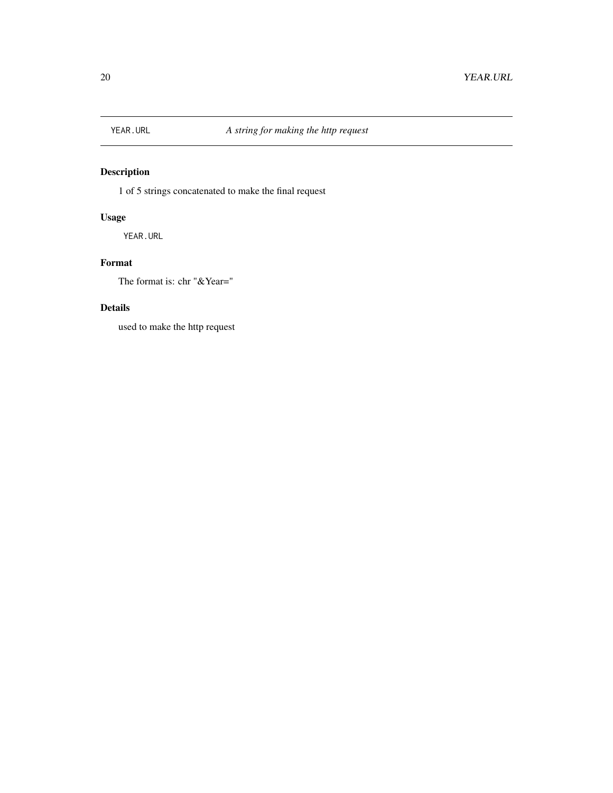<span id="page-19-0"></span>

1 of 5 strings concatenated to make the final request

## Usage

YEAR.URL

## Format

The format is: chr "&Year="

## Details

used to make the http request